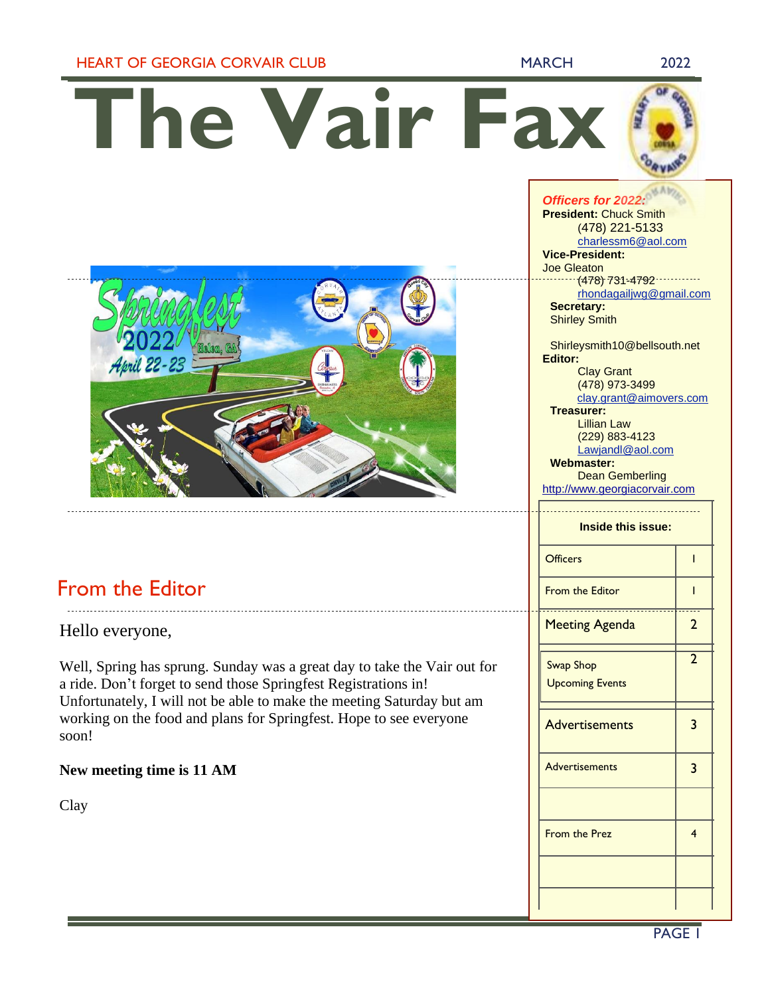## HEART OF GEORGIA CORVAIR CLUB MARCH 2022

# **The Vair Fax**



# From the Editor

Hello everyone,

Well, Spring has sprung. Sunday was a great day to take the Vair out for a ride. Don't forget to send those Springfest Registrations in! Unfortunately, I will not be able to make the meeting Saturday but am working on the food and plans for Springfest. Hope to see everyone soon!

## **New meeting time is 11 AM**

Clay

# *Officers for 2022:* **President:** Chuck Smith (478) 221-5133 [charlessm6@aol.com](mailto:charlessm6@aol.com) **Vice-President:** Joe Gleaton (478) 731-4792 [rhondagailjwg@gmail.com](mailto:rhondagailjwg@gmail.com) **Secretary:**  Shirley Smith Shirleysmith10@bellsouth.net **Editor:** Clay Grant (478) 973-3499 clay.grant@aimovers.com **Treasurer:** Lillian Law (229) 883-4123 [Lawjandl@aol.com](mailto:Lawjandl@aol.com) **Webmaster:** Dean Gemberling [http://www.georgiacorvair.com](http://www.georgiacorvair.com/) **Inside this issue:** Officers and 1 From the Editor 1 Meeting Agenda | 2 Swap Shop Upcoming Events 2 Advertisements 3 Advertisements | 3 From the Prez 14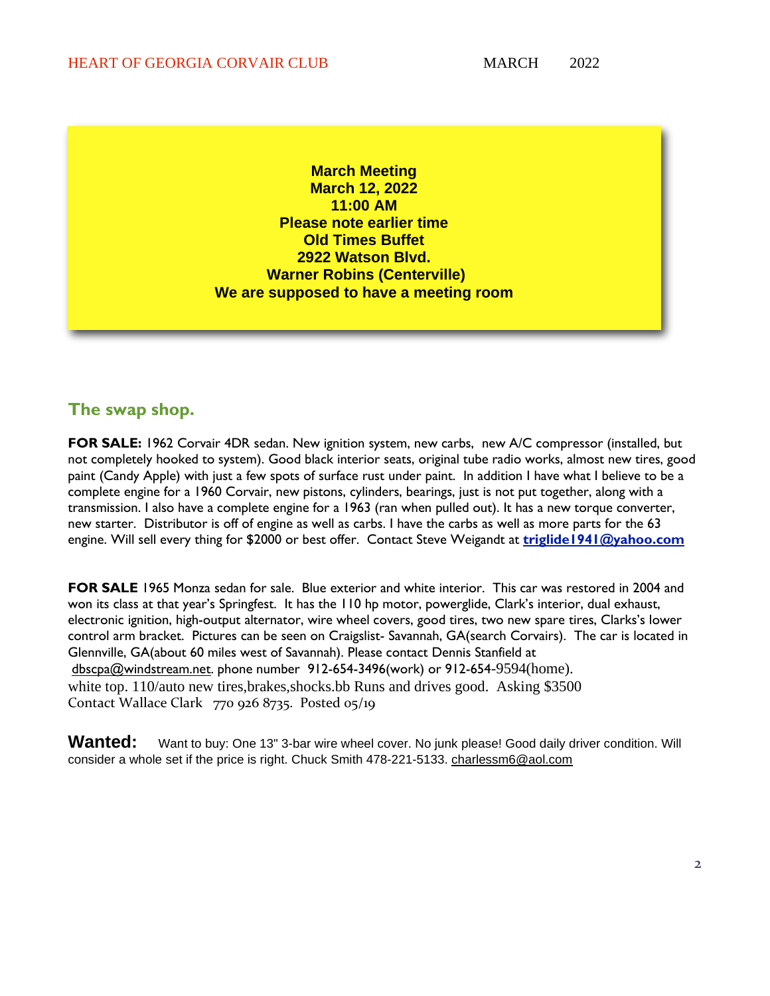**March Meeting March 12, 2022 11:00 AM Please note earlier time Old Times Buffet 2922 Watson Blvd. Warner Robins (Centerville) We are supposed to have a meeting room**

# **The swap shop.**

**FOR SALE:** 1962 Corvair 4DR sedan. New ignition system, new carbs, new A/C compressor (installed, but not completely hooked to system). Good black interior seats, original tube radio works, almost new tires, good paint (Candy Apple) with just a few spots of surface rust under paint. In addition I have what I believe to be a complete engine for a 1960 Corvair, new pistons, cylinders, bearings, just is not put together, along with a transmission. I also have a complete engine for a 1963 (ran when pulled out). It has a new torque converter, new starter. Distributor is off of engine as well as carbs. I have the carbs as well as more parts for the 63 engine. Will sell every thing for \$2000 or best offer. Contact Steve Weigandt at **[triglide1941@yahoo.com](mailto:triglide1941@yahoo.com)**

**FOR SALE** 1965 Monza sedan for sale. Blue exterior and white interior. This car was restored in 2004 and won its class at that year's Springfest. It has the 110 hp motor, powerglide, Clark's interior, dual exhaust, electronic ignition, high-output alternator, wire wheel covers, good tires, two new spare tires, Clarks's lower control arm bracket. Pictures can be seen on Craigslist- Savannah, GA(search Corvairs). The car is located in Glennville, GA(about 60 miles west of Savannah). Please contact Dennis Stanfield at [dbscpa@windstream.net.](mailto:dbscpa@windstream.net) phone number 912-654-3496(work) or 912-654-9594(home). white top. 110/auto new tires, brakes, shocks. bb Runs and drives good. Asking \$3500 Contact Wallace Clark 770 926 8735. Posted 05/19

Wanted: Want to buy: One 13" 3-bar wire wheel cover. No junk please! Good daily driver condition. Will consider a whole set if the price is right. Chuck Smith 478-221-5133. [charlessm6@aol.com](mailto:charlessm6@aol.com)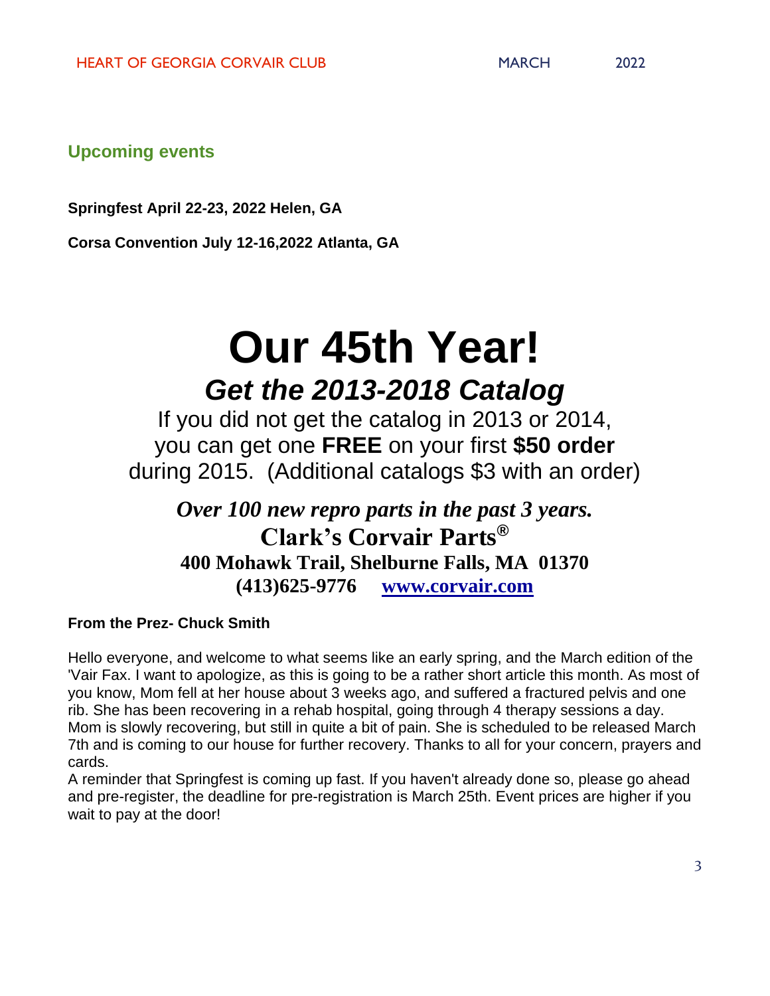**Upcoming events**

**Springfest April 22-23, 2022 Helen, GA**

**Corsa Convention July 12-16,2022 Atlanta, GA**

# **Our 45th Year!** *Get the 2013-2018 Catalog*

If you did not get the catalog in 2013 or 2014, you can get one **FREE** on your first **\$50 order** during 2015. (Additional catalogs \$3 with an order)

*Over 100 new repro parts in the past 3 years.* **Clark's Corvair Parts® 400 Mohawk Trail, Shelburne Falls, MA 01370 (413)625-9776 [www.corvair.com](http://www.corvair.com/)**

## **From the Prez- Chuck Smith**

Hello everyone, and welcome to what seems like an early spring, and the March edition of the 'Vair Fax. I want to apologize, as this is going to be a rather short article this month. As most of you know, Mom fell at her house about 3 weeks ago, and suffered a fractured pelvis and one rib. She has been recovering in a rehab hospital, going through 4 therapy sessions a day. Mom is slowly recovering, but still in quite a bit of pain. She is scheduled to be released March 7th and is coming to our house for further recovery. Thanks to all for your concern, prayers and cards.

A reminder that Springfest is coming up fast. If you haven't already done so, please go ahead and pre-register, the deadline for pre-registration is March 25th. Event prices are higher if you wait to pay at the door!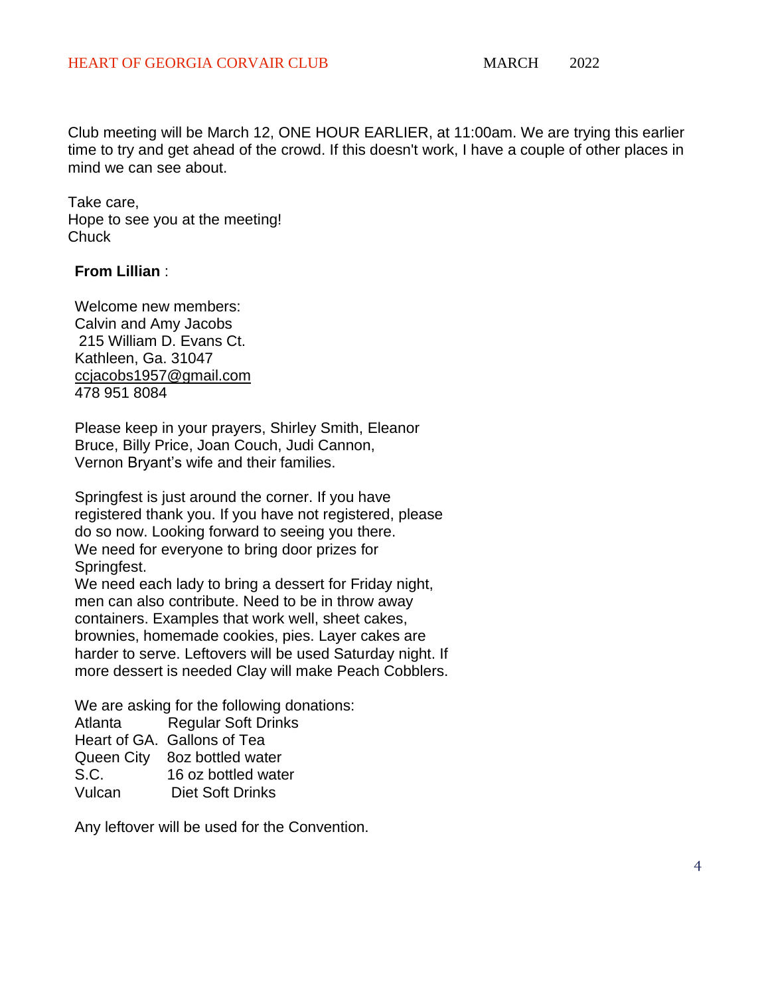Club meeting will be March 12, ONE HOUR EARLIER, at 11:00am. We are trying this earlier time to try and get ahead of the crowd. If this doesn't work, I have a couple of other places in mind we can see about.

Take care, Hope to see you at the meeting! **Chuck** 

#### **From Lillian** :

Welcome new members: Calvin and Amy Jacobs 215 William D. Evans Ct. Kathleen, Ga. 31047 [ccjacobs1957@gmail.com](mailto:ccjacobs1957@gmail.com) 478 951 8084

Please keep in your prayers, Shirley Smith, Eleanor Bruce, Billy Price, Joan Couch, Judi Cannon, Vernon Bryant's wife and their families.

Springfest is just around the corner. If you have registered thank you. If you have not registered, please do so now. Looking forward to seeing you there. We need for everyone to bring door prizes for Springfest.

We need each lady to bring a dessert for Friday night, men can also contribute. Need to be in throw away containers. Examples that work well, sheet cakes, brownies, homemade cookies, pies. Layer cakes are harder to serve. Leftovers will be used Saturday night. If more dessert is needed Clay will make Peach Cobblers.

We are asking for the following donations: Atlanta Regular Soft Drinks Heart of GA. Gallons of Tea Queen City 8oz bottled water S.C. 16 oz bottled water Vulcan Diet Soft Drinks

Any leftover will be used for the Convention.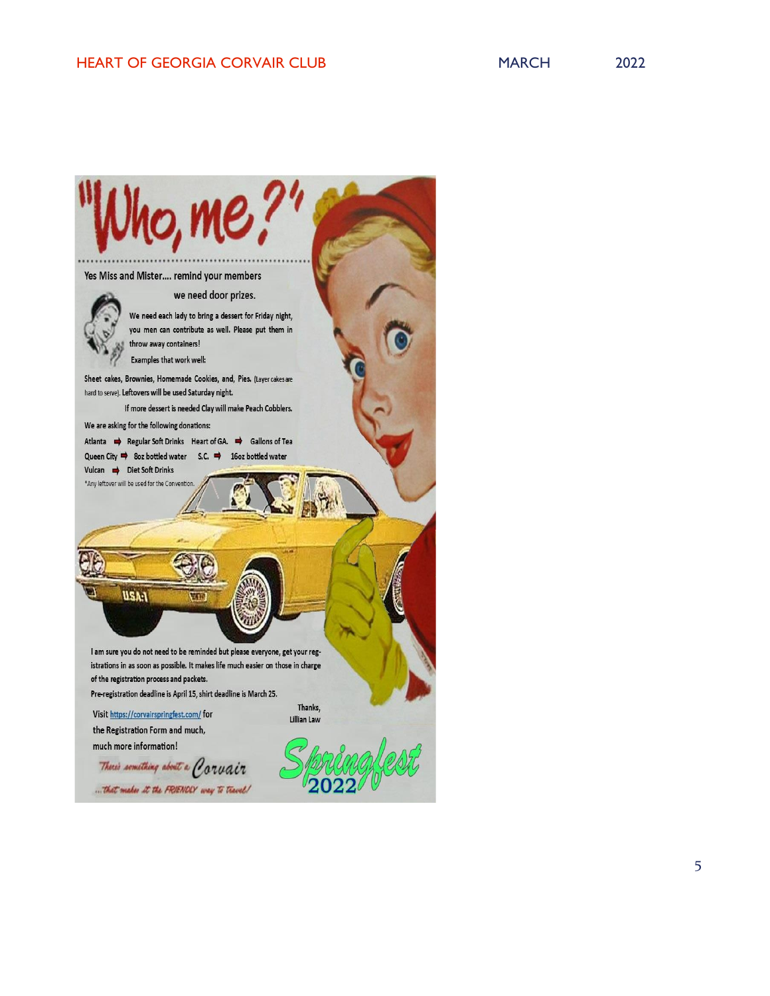